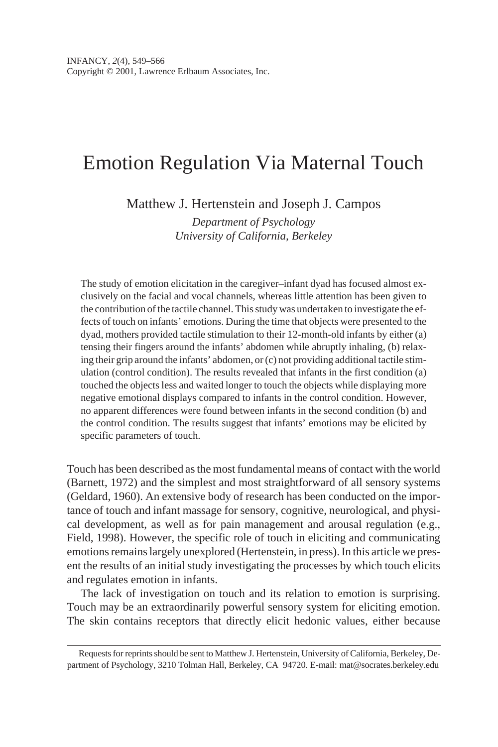# Emotion Regulation Via Maternal Touch

Matthew J. Hertenstein and Joseph J. Campos

*Department of Psychology University of California, Berkeley*

The study of emotion elicitation in the caregiver–infant dyad has focused almost exclusively on the facial and vocal channels, whereas little attention has been given to the contribution of the tactile channel. This study was undertaken to investigate the effects of touch on infants' emotions. During the time that objects were presented to the dyad, mothers provided tactile stimulation to their 12-month-old infants by either (a) tensing their fingers around the infants' abdomen while abruptly inhaling, (b) relaxing their grip around the infants' abdomen, or (c) not providing additional tactile stimulation (control condition). The results revealed that infants in the first condition (a) touched the objects less and waited longer to touch the objects while displaying more negative emotional displays compared to infants in the control condition. However, no apparent differences were found between infants in the second condition (b) and the control condition. The results suggest that infants' emotions may be elicited by specific parameters of touch.

Touch has been described as the most fundamental means of contact with the world (Barnett, 1972) and the simplest and most straightforward of all sensory systems (Geldard, 1960). An extensive body of research has been conducted on the importance of touch and infant massage for sensory, cognitive, neurological, and physical development, as well as for pain management and arousal regulation (e.g., Field, 1998). However, the specific role of touch in eliciting and communicating emotions remains largely unexplored (Hertenstein, in press). In this article we present the results of an initial study investigating the processes by which touch elicits and regulates emotion in infants.

The lack of investigation on touch and its relation to emotion is surprising. Touch may be an extraordinarily powerful sensory system for eliciting emotion. The skin contains receptors that directly elicit hedonic values, either because

Requests for reprints should be sent to Matthew J. Hertenstein, University of California, Berkeley, Department of Psychology, 3210 Tolman Hall, Berkeley, CA 94720. E-mail: mat@socrates.berkeley.edu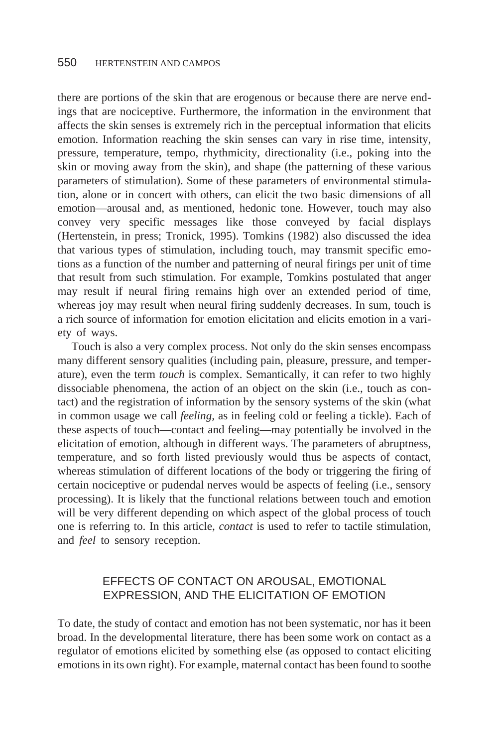there are portions of the skin that are erogenous or because there are nerve endings that are nociceptive. Furthermore, the information in the environment that affects the skin senses is extremely rich in the perceptual information that elicits emotion. Information reaching the skin senses can vary in rise time, intensity, pressure, temperature, tempo, rhythmicity, directionality (i.e., poking into the skin or moving away from the skin), and shape (the patterning of these various parameters of stimulation). Some of these parameters of environmental stimulation, alone or in concert with others, can elicit the two basic dimensions of all emotion—arousal and, as mentioned, hedonic tone. However, touch may also convey very specific messages like those conveyed by facial displays (Hertenstein, in press; Tronick, 1995). Tomkins (1982) also discussed the idea that various types of stimulation, including touch, may transmit specific emotions as a function of the number and patterning of neural firings per unit of time that result from such stimulation. For example, Tomkins postulated that anger may result if neural firing remains high over an extended period of time, whereas joy may result when neural firing suddenly decreases. In sum, touch is a rich source of information for emotion elicitation and elicits emotion in a variety of ways.

Touch is also a very complex process. Not only do the skin senses encompass many different sensory qualities (including pain, pleasure, pressure, and temperature), even the term *touch* is complex. Semantically, it can refer to two highly dissociable phenomena, the action of an object on the skin (i.e., touch as contact) and the registration of information by the sensory systems of the skin (what in common usage we call *feeling,* as in feeling cold or feeling a tickle). Each of these aspects of touch—contact and feeling—may potentially be involved in the elicitation of emotion, although in different ways. The parameters of abruptness, temperature, and so forth listed previously would thus be aspects of contact, whereas stimulation of different locations of the body or triggering the firing of certain nociceptive or pudendal nerves would be aspects of feeling (i.e., sensory processing). It is likely that the functional relations between touch and emotion will be very different depending on which aspect of the global process of touch one is referring to. In this article, *contact* is used to refer to tactile stimulation, and *feel* to sensory reception.

# EFFECTS OF CONTACT ON AROUSAL, EMOTIONAL EXPRESSION, AND THE ELICITATION OF EMOTION

To date, the study of contact and emotion has not been systematic, nor has it been broad. In the developmental literature, there has been some work on contact as a regulator of emotions elicited by something else (as opposed to contact eliciting emotions in its own right). For example, maternal contact has been found to soothe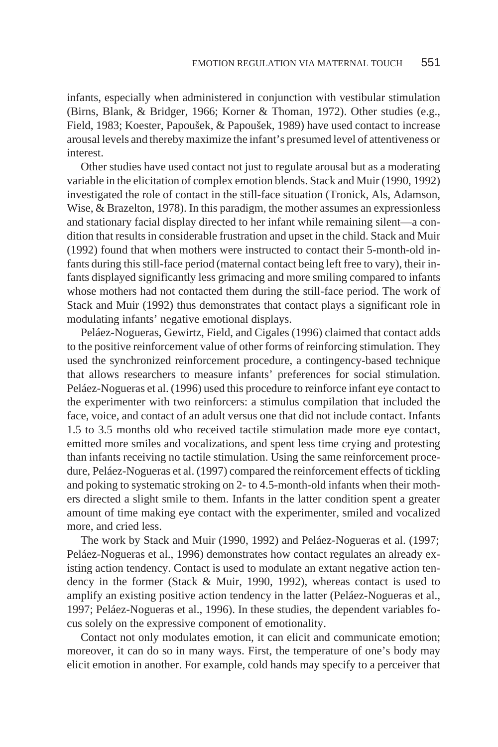infants, especially when administered in conjunction with vestibular stimulation (Birns, Blank, & Bridger, 1966; Korner & Thoman, 1972). Other studies (e.g., Field, 1983; Koester, Papoušek, & Papoušek, 1989) have used contact to increase arousal levels and thereby maximize the infant's presumed level of attentiveness or interest.

Other studies have used contact not just to regulate arousal but as a moderating variable in the elicitation of complex emotion blends. Stack and Muir (1990, 1992) investigated the role of contact in the still-face situation (Tronick, Als, Adamson, Wise, & Brazelton, 1978). In this paradigm, the mother assumes an expressionless and stationary facial display directed to her infant while remaining silent—a condition that results in considerable frustration and upset in the child. Stack and Muir (1992) found that when mothers were instructed to contact their 5-month-old infants during this still-face period (maternal contact being left free to vary), their infants displayed significantly less grimacing and more smiling compared to infants whose mothers had not contacted them during the still-face period. The work of Stack and Muir (1992) thus demonstrates that contact plays a significant role in modulating infants' negative emotional displays.

Peláez-Nogueras, Gewirtz, Field, and Cigales (1996) claimed that contact adds to the positive reinforcement value of other forms of reinforcing stimulation. They used the synchronized reinforcement procedure, a contingency-based technique that allows researchers to measure infants' preferences for social stimulation. Peláez-Nogueras et al. (1996) used this procedure to reinforce infant eye contact to the experimenter with two reinforcers: a stimulus compilation that included the face, voice, and contact of an adult versus one that did not include contact. Infants 1.5 to 3.5 months old who received tactile stimulation made more eye contact, emitted more smiles and vocalizations, and spent less time crying and protesting than infants receiving no tactile stimulation. Using the same reinforcement procedure, Peláez-Nogueras et al. (1997) compared the reinforcement effects of tickling and poking to systematic stroking on 2- to 4.5-month-old infants when their mothers directed a slight smile to them. Infants in the latter condition spent a greater amount of time making eye contact with the experimenter, smiled and vocalized more, and cried less.

The work by Stack and Muir (1990, 1992) and Peláez-Nogueras et al. (1997; Peláez-Nogueras et al., 1996) demonstrates how contact regulates an already existing action tendency. Contact is used to modulate an extant negative action tendency in the former (Stack & Muir, 1990, 1992), whereas contact is used to amplify an existing positive action tendency in the latter (Peláez-Nogueras et al., 1997; Peláez-Nogueras et al., 1996). In these studies, the dependent variables focus solely on the expressive component of emotionality.

Contact not only modulates emotion, it can elicit and communicate emotion; moreover, it can do so in many ways. First, the temperature of one's body may elicit emotion in another. For example, cold hands may specify to a perceiver that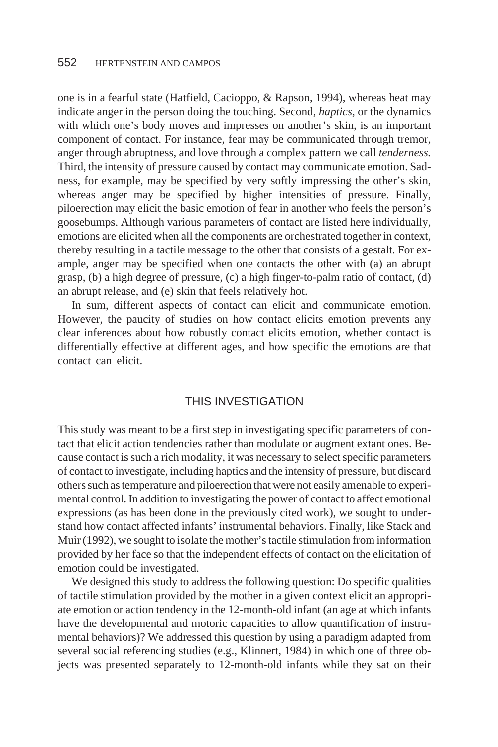one is in a fearful state (Hatfield, Cacioppo, & Rapson, 1994), whereas heat may indicate anger in the person doing the touching. Second, *haptics,* or the dynamics with which one's body moves and impresses on another's skin, is an important component of contact. For instance, fear may be communicated through tremor, anger through abruptness, and love through a complex pattern we call *tenderness.* Third, the intensity of pressure caused by contact may communicate emotion. Sadness, for example, may be specified by very softly impressing the other's skin, whereas anger may be specified by higher intensities of pressure. Finally, piloerection may elicit the basic emotion of fear in another who feels the person's goosebumps. Although various parameters of contact are listed here individually, emotions are elicited when all the components are orchestrated together in context, thereby resulting in a tactile message to the other that consists of a gestalt. For example, anger may be specified when one contacts the other with (a) an abrupt grasp, (b) a high degree of pressure, (c) a high finger-to-palm ratio of contact, (d) an abrupt release, and (e) skin that feels relatively hot.

In sum, different aspects of contact can elicit and communicate emotion. However, the paucity of studies on how contact elicits emotion prevents any clear inferences about how robustly contact elicits emotion, whether contact is differentially effective at different ages, and how specific the emotions are that contact can elicit.

## THIS INVESTIGATION

This study was meant to be a first step in investigating specific parameters of contact that elicit action tendencies rather than modulate or augment extant ones. Because contact is such a rich modality, it was necessary to select specific parameters of contact to investigate, including haptics and the intensity of pressure, but discard others such as temperature and piloerection that were not easily amenable to experimental control. In addition to investigating the power of contact to affect emotional expressions (as has been done in the previously cited work), we sought to understand how contact affected infants' instrumental behaviors. Finally, like Stack and Muir (1992), we sought to isolate the mother's tactile stimulation from information provided by her face so that the independent effects of contact on the elicitation of emotion could be investigated.

We designed this study to address the following question: Do specific qualities of tactile stimulation provided by the mother in a given context elicit an appropriate emotion or action tendency in the 12-month-old infant (an age at which infants have the developmental and motoric capacities to allow quantification of instrumental behaviors)? We addressed this question by using a paradigm adapted from several social referencing studies (e.g., Klinnert, 1984) in which one of three objects was presented separately to 12-month-old infants while they sat on their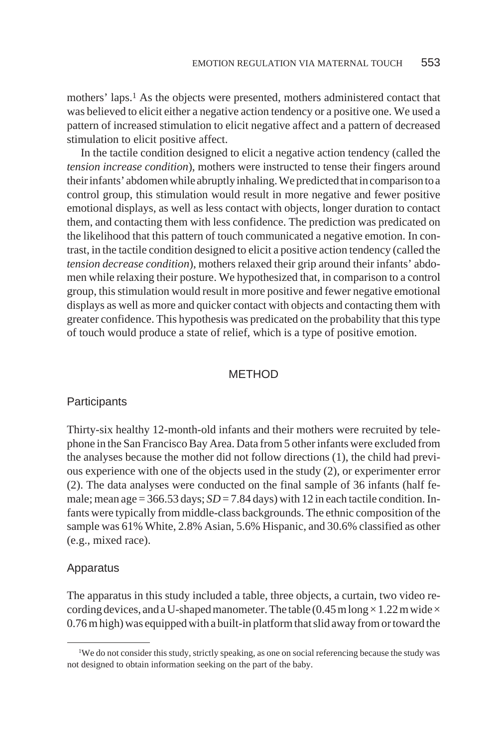mothers' laps.1 As the objects were presented, mothers administered contact that was believed to elicit either a negative action tendency or a positive one. We used a pattern of increased stimulation to elicit negative affect and a pattern of decreased stimulation to elicit positive affect.

In the tactile condition designed to elicit a negative action tendency (called the *tension increase condition*), mothers were instructed to tense their fingers around their infants' abdomen while abruptly inhaling. We predicted that in comparison to a control group, this stimulation would result in more negative and fewer positive emotional displays, as well as less contact with objects, longer duration to contact them, and contacting them with less confidence. The prediction was predicated on the likelihood that this pattern of touch communicated a negative emotion. In contrast, in the tactile condition designed to elicit a positive action tendency (called the *tension decrease condition*), mothers relaxed their grip around their infants' abdomen while relaxing their posture. We hypothesized that, in comparison to a control group, this stimulation would result in more positive and fewer negative emotional displays as well as more and quicker contact with objects and contacting them with greater confidence. This hypothesis was predicated on the probability that this type of touch would produce a state of relief, which is a type of positive emotion.

## **METHOD**

#### **Participants**

Thirty-six healthy 12-month-old infants and their mothers were recruited by telephone in the San Francisco Bay Area. Data from 5 other infants were excluded from the analyses because the mother did not follow directions (1), the child had previous experience with one of the objects used in the study (2), or experimenter error (2). The data analyses were conducted on the final sample of 36 infants (half female; mean age =  $366.53$  days;  $SD = 7.84$  days) with 12 in each tactile condition. Infants were typically from middle-class backgrounds. The ethnic composition of the sample was 61% White, 2.8% Asian, 5.6% Hispanic, and 30.6% classified as other (e.g., mixed race).

#### Apparatus

The apparatus in this study included a table, three objects, a curtain, two video recording devices, and a U-shaped manometer. The table  $(0.45 \text{ m} \log \times 1.22 \text{ m} \text{ wide} \times$ 0.76 m high) was equipped with a built-in platform that slid away from or toward the

<sup>&</sup>lt;sup>1</sup>We do not consider this study, strictly speaking, as one on social referencing because the study was not designed to obtain information seeking on the part of the baby.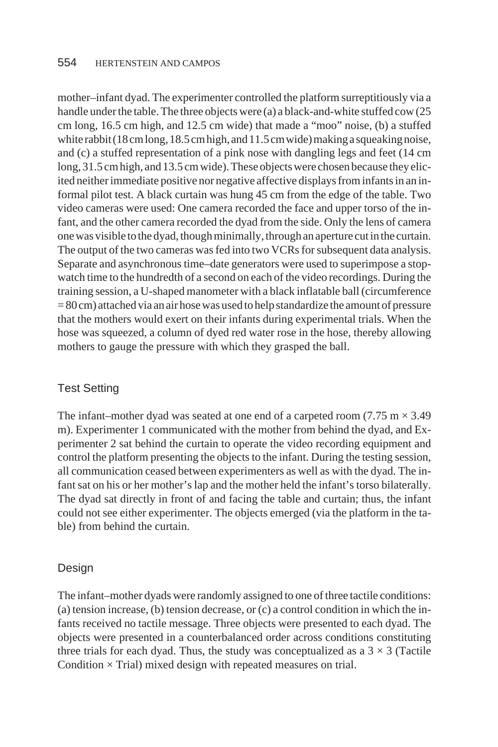mother–infant dyad. The experimenter controlled the platform surreptitiously via a handle under the table. The three objects were (a) a black-and-white stuffed cow (25 cm long, 16.5 cm high, and 12.5 cm wide) that made a "moo" noise, (b) a stuffed whiterabbit (18cm long, 18.5cm high, and 11.5cm wide) making a squeaking noise, and (c) a stuffed representation of a pink nose with dangling legs and feet (14 cm long, 31.5 cm high, and 13.5 cm wide). These objects were chosen because they elicited neither immediate positive nor negative affective displays from infants in an informal pilot test. A black curtain was hung 45 cm from the edge of the table. Two video cameras were used: One camera recorded the face and upper torso of the infant, and the other camera recorded the dyad from the side. Only the lens of camera one was visible to the dyad, though minimally, through an aperture cut in the curtain. The output of the two cameras was fed into two VCRs for subsequent data analysis. Separate and asynchronous time–date generators were used to superimpose a stopwatch time to the hundredth of a second on each of the video recordings. During the training session, a U-shaped manometer with a black inflatable ball (circumference = 80 cm) attached via an air hose was used to help standardize the amount of pressure that the mothers would exert on their infants during experimental trials. When the hose was squeezed, a column of dyed red water rose in the hose, thereby allowing mothers to gauge the pressure with which they grasped the ball.

# Test Setting

The infant–mother dyad was seated at one end of a carpeted room (7.75 m  $\times$  3.49) m). Experimenter 1 communicated with the mother from behind the dyad, and Experimenter 2 sat behind the curtain to operate the video recording equipment and control the platform presenting the objects to the infant. During the testing session, all communication ceased between experimenters as well as with the dyad. The infant sat on his or her mother's lap and the mother held the infant's torso bilaterally. The dyad sat directly in front of and facing the table and curtain; thus, the infant could not see either experimenter. The objects emerged (via the platform in the table) from behind the curtain.

# Design

The infant–mother dyads were randomly assigned to one of three tactile conditions: (a) tension increase, (b) tension decrease, or (c) a control condition in which the infants received no tactile message. Three objects were presented to each dyad. The objects were presented in a counterbalanced order across conditions constituting three trials for each dyad. Thus, the study was conceptualized as a  $3 \times 3$  (Tactile Condition  $\times$  Trial) mixed design with repeated measures on trial.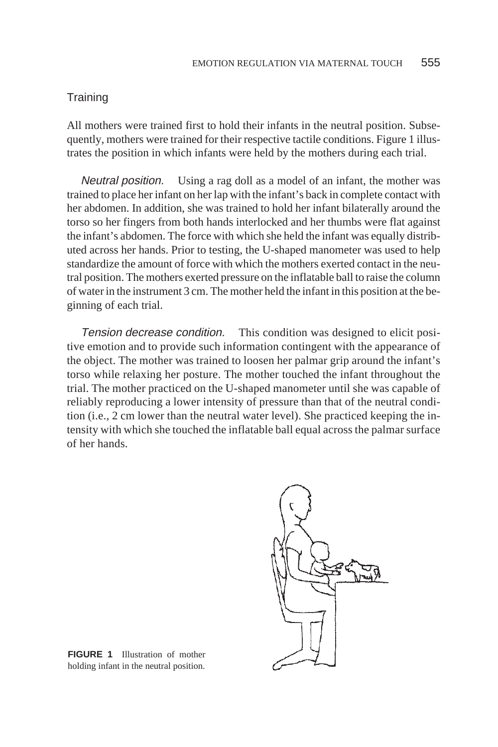#### **Training**

All mothers were trained first to hold their infants in the neutral position. Subsequently, mothers were trained for their respective tactile conditions. Figure 1 illustrates the position in which infants were held by the mothers during each trial.

Neutral position. Using a rag doll as a model of an infant, the mother was trained to place her infant on her lap with the infant's back in complete contact with her abdomen. In addition, she was trained to hold her infant bilaterally around the torso so her fingers from both hands interlocked and her thumbs were flat against the infant's abdomen. The force with which she held the infant was equally distributed across her hands. Prior to testing, the U-shaped manometer was used to help standardize the amount of force with which the mothers exerted contact in the neutral position. The mothers exerted pressure on the inflatable ball to raise the column of water in the instrument 3 cm. The mother held the infant in this position at the beginning of each trial.

Tension decrease condition. This condition was designed to elicit positive emotion and to provide such information contingent with the appearance of the object. The mother was trained to loosen her palmar grip around the infant's torso while relaxing her posture. The mother touched the infant throughout the trial. The mother practiced on the U-shaped manometer until she was capable of reliably reproducing a lower intensity of pressure than that of the neutral condition (i.e., 2 cm lower than the neutral water level). She practiced keeping the intensity with which she touched the inflatable ball equal across the palmar surface of her hands.



**FIGURE 1** Illustration of mother holding infant in the neutral position.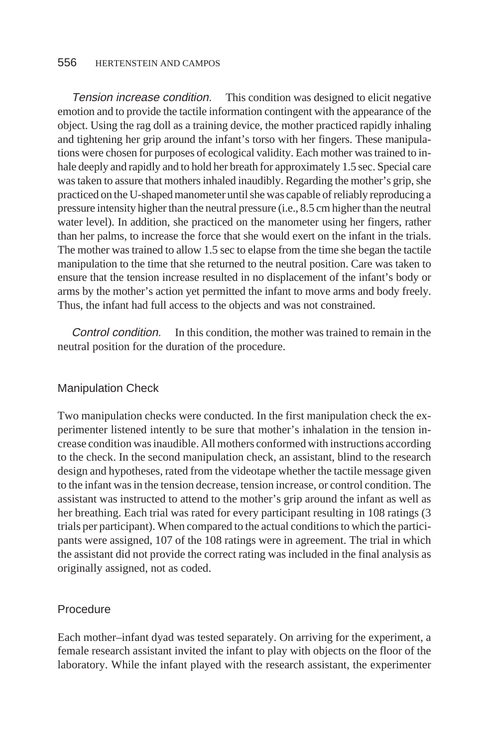Tension increase condition. This condition was designed to elicit negative emotion and to provide the tactile information contingent with the appearance of the object. Using the rag doll as a training device, the mother practiced rapidly inhaling and tightening her grip around the infant's torso with her fingers. These manipulations were chosen for purposes of ecological validity. Each mother was trained to inhale deeply and rapidly and to hold her breath for approximately 1.5 sec. Special care was taken to assure that mothers inhaled inaudibly. Regarding the mother's grip, she practiced on the U-shaped manometer until she was capable of reliably reproducing a pressure intensity higher than the neutral pressure (i.e., 8.5 cm higher than the neutral water level). In addition, she practiced on the manometer using her fingers, rather than her palms, to increase the force that she would exert on the infant in the trials. The mother was trained to allow 1.5 sec to elapse from the time she began the tactile manipulation to the time that she returned to the neutral position. Care was taken to ensure that the tension increase resulted in no displacement of the infant's body or arms by the mother's action yet permitted the infant to move arms and body freely. Thus, the infant had full access to the objects and was not constrained.

Control condition. In this condition, the mother was trained to remain in the neutral position for the duration of the procedure.

# Manipulation Check

Two manipulation checks were conducted. In the first manipulation check the experimenter listened intently to be sure that mother's inhalation in the tension increase condition was inaudible. All mothers conformed with instructions according to the check. In the second manipulation check, an assistant, blind to the research design and hypotheses, rated from the videotape whether the tactile message given to the infant was in the tension decrease, tension increase, or control condition. The assistant was instructed to attend to the mother's grip around the infant as well as her breathing. Each trial was rated for every participant resulting in 108 ratings (3 trials per participant). When compared to the actual conditions to which the participants were assigned, 107 of the 108 ratings were in agreement. The trial in which the assistant did not provide the correct rating was included in the final analysis as originally assigned, not as coded.

#### Procedure

Each mother–infant dyad was tested separately. On arriving for the experiment, a female research assistant invited the infant to play with objects on the floor of the laboratory. While the infant played with the research assistant, the experimenter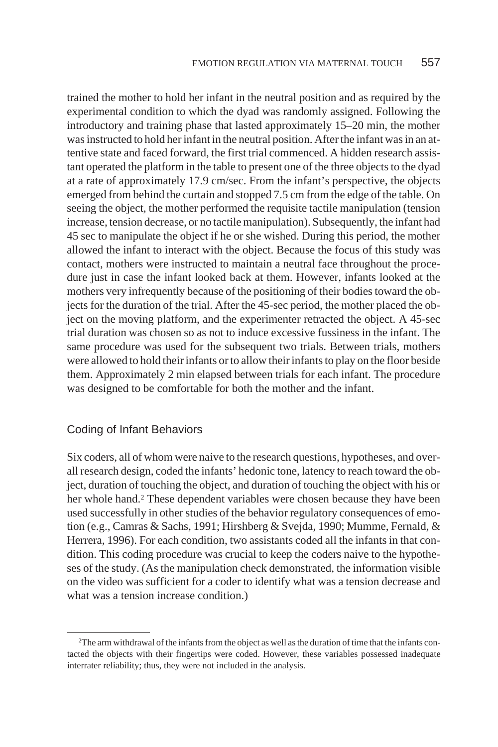trained the mother to hold her infant in the neutral position and as required by the experimental condition to which the dyad was randomly assigned. Following the introductory and training phase that lasted approximately 15–20 min, the mother was instructed to hold her infant in the neutral position. After the infant was in an attentive state and faced forward, the first trial commenced. A hidden research assistant operated the platform in the table to present one of the three objects to the dyad at a rate of approximately 17.9 cm/sec. From the infant's perspective, the objects emerged from behind the curtain and stopped 7.5 cm from the edge of the table. On seeing the object, the mother performed the requisite tactile manipulation (tension increase, tension decrease, or no tactile manipulation). Subsequently, the infant had 45 sec to manipulate the object if he or she wished. During this period, the mother allowed the infant to interact with the object. Because the focus of this study was contact, mothers were instructed to maintain a neutral face throughout the procedure just in case the infant looked back at them. However, infants looked at the mothers very infrequently because of the positioning of their bodies toward the objects for the duration of the trial. After the 45-sec period, the mother placed the object on the moving platform, and the experimenter retracted the object. A 45-sec trial duration was chosen so as not to induce excessive fussiness in the infant. The same procedure was used for the subsequent two trials. Between trials, mothers were allowed to hold their infants or to allow their infants to play on the floor beside them. Approximately 2 min elapsed between trials for each infant. The procedure was designed to be comfortable for both the mother and the infant.

#### Coding of Infant Behaviors

Six coders, all of whom were naive to the research questions, hypotheses, and overall research design, coded the infants' hedonic tone, latency to reach toward the object, duration of touching the object, and duration of touching the object with his or her whole hand.2 These dependent variables were chosen because they have been used successfully in other studies of the behavior regulatory consequences of emotion (e.g., Camras & Sachs, 1991; Hirshberg & Svejda, 1990; Mumme, Fernald, & Herrera, 1996). For each condition, two assistants coded all the infants in that condition. This coding procedure was crucial to keep the coders naive to the hypotheses of the study. (As the manipulation check demonstrated, the information visible on the video was sufficient for a coder to identify what was a tension decrease and what was a tension increase condition.)

<sup>2</sup>The arm withdrawal of the infants from the object as well as the duration of time that the infants contacted the objects with their fingertips were coded. However, these variables possessed inadequate interrater reliability; thus, they were not included in the analysis.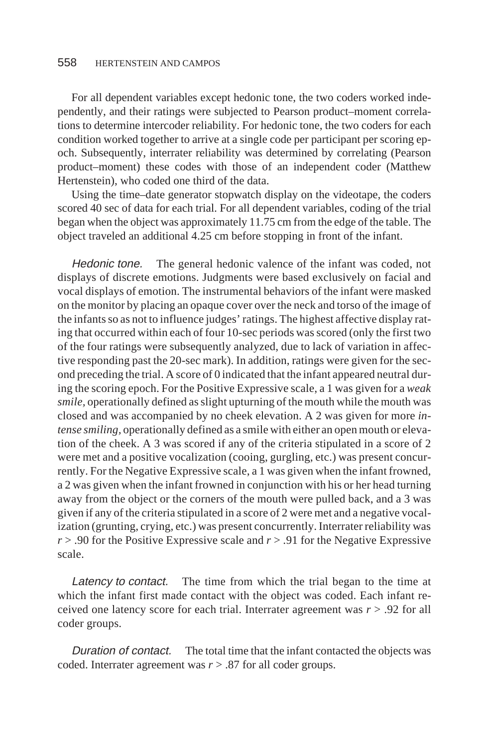For all dependent variables except hedonic tone, the two coders worked independently, and their ratings were subjected to Pearson product–moment correlations to determine intercoder reliability. For hedonic tone, the two coders for each condition worked together to arrive at a single code per participant per scoring epoch. Subsequently, interrater reliability was determined by correlating (Pearson product–moment) these codes with those of an independent coder (Matthew Hertenstein), who coded one third of the data.

Using the time–date generator stopwatch display on the videotape, the coders scored 40 sec of data for each trial. For all dependent variables, coding of the trial began when the object was approximately 11.75 cm from the edge of the table. The object traveled an additional 4.25 cm before stopping in front of the infant.

Hedonic tone. The general hedonic valence of the infant was coded, not displays of discrete emotions. Judgments were based exclusively on facial and vocal displays of emotion. The instrumental behaviors of the infant were masked on the monitor by placing an opaque cover over the neck and torso of the image of the infants so as not to influence judges' ratings. The highest affective display rating that occurred within each of four 10-sec periods was scored (only the first two of the four ratings were subsequently analyzed, due to lack of variation in affective responding past the 20-sec mark). In addition, ratings were given for the second preceding the trial. A score of 0 indicated that the infant appeared neutral during the scoring epoch. For the Positive Expressive scale, a 1 was given for a *weak smile,* operationally defined as slight upturning of the mouth while the mouth was closed and was accompanied by no cheek elevation. A 2 was given for more *intense smiling,* operationally defined as a smile with either an open mouth or elevation of the cheek. A 3 was scored if any of the criteria stipulated in a score of 2 were met and a positive vocalization (cooing, gurgling, etc.) was present concurrently. For the Negative Expressive scale, a 1 was given when the infant frowned, a 2 was given when the infant frowned in conjunction with his or her head turning away from the object or the corners of the mouth were pulled back, and a 3 was given if any of the criteria stipulated in a score of 2 were met and a negative vocalization (grunting, crying, etc.) was present concurrently. Interrater reliability was *r* > .90 for the Positive Expressive scale and *r* > .91 for the Negative Expressive scale.

Latency to contact. The time from which the trial began to the time at which the infant first made contact with the object was coded. Each infant received one latency score for each trial. Interrater agreement was *r* > .92 for all coder groups.

Duration of contact. The total time that the infant contacted the objects was coded. Interrater agreement was *r* > .87 for all coder groups.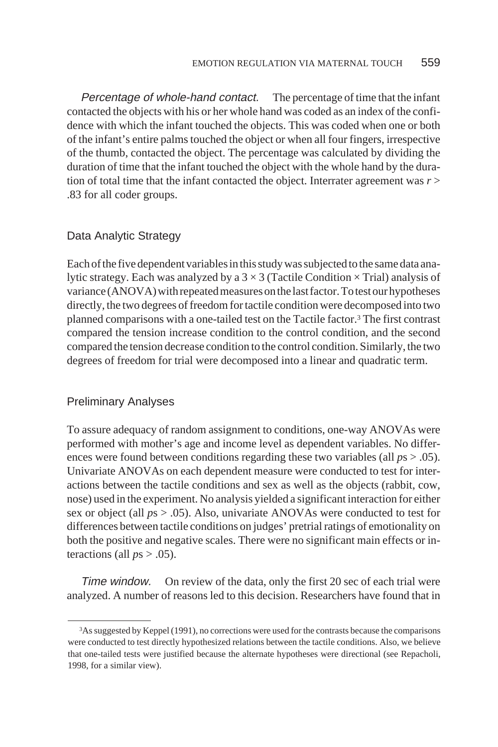Percentage of whole-hand contact. The percentage of time that the infant contacted the objects with his or her whole hand was coded as an index of the confidence with which the infant touched the objects. This was coded when one or both of the infant's entire palms touched the object or when all four fingers, irrespective of the thumb, contacted the object. The percentage was calculated by dividing the duration of time that the infant touched the object with the whole hand by the duration of total time that the infant contacted the object. Interrater agreement was *r* > .83 for all coder groups.

# Data Analytic Strategy

Each of the five dependent variables in this study was subjected to the same data analytic strategy. Each was analyzed by a  $3\times3$  (Tactile Condition  $\times$  Trial) analysis of variance (ANOVA) with repeated measures on the last factor. To test our hypotheses directly, the two degrees of freedom for tactile condition were decomposed into two planned comparisons with a one-tailed test on the Tactile factor.3 The first contrast compared the tension increase condition to the control condition, and the second compared the tension decrease condition to the control condition. Similarly, the two degrees of freedom for trial were decomposed into a linear and quadratic term.

## Preliminary Analyses

To assure adequacy of random assignment to conditions, one-way ANOVAs were performed with mother's age and income level as dependent variables. No differences were found between conditions regarding these two variables (all *p*s > .05). Univariate ANOVAs on each dependent measure were conducted to test for interactions between the tactile conditions and sex as well as the objects (rabbit, cow, nose) used in the experiment. No analysis yielded a significant interaction for either sex or object (all *p*s > .05). Also, univariate ANOVAs were conducted to test for differences between tactile conditions on judges' pretrial ratings of emotionality on both the positive and negative scales. There were no significant main effects or interactions (all  $ps > .05$ ).

Time window. On review of the data, only the first 20 sec of each trial were analyzed. A number of reasons led to this decision. Researchers have found that in

<sup>3</sup>As suggested by Keppel (1991), no corrections were used for the contrasts because the comparisons were conducted to test directly hypothesized relations between the tactile conditions. Also, we believe that one-tailed tests were justified because the alternate hypotheses were directional (see Repacholi, 1998, for a similar view).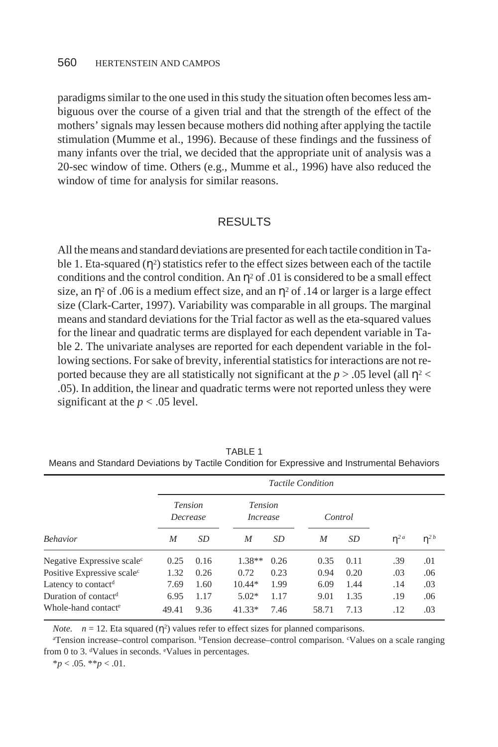paradigms similar to the one used in this study the situation often becomes less ambiguous over the course of a given trial and that the strength of the effect of the mothers' signals may lessen because mothers did nothing after applying the tactile stimulation (Mumme et al., 1996). Because of these findings and the fussiness of many infants over the trial, we decided that the appropriate unit of analysis was a 20-sec window of time. Others (e.g., Mumme et al., 1996) have also reduced the window of time for analysis for similar reasons.

#### RESULTS

All the means and standard deviations are presented for each tactile condition in Table 1. Eta-squared  $(\eta^2)$  statistics refer to the effect sizes between each of the tactile conditions and the control condition. An  $\eta^2$  of .01 is considered to be a small effect size, an  $\eta^2$  of .06 is a medium effect size, and an  $\eta^2$  of .14 or larger is a large effect size (Clark-Carter, 1997). Variability was comparable in all groups. The marginal means and standard deviations for the Trial factor as well as the eta-squared values for the linear and quadratic terms are displayed for each dependent variable in Table 2. The univariate analyses are reported for each dependent variable in the following sections. For sake of brevity, inferential statistics for interactions are not reported because they are all statistically not significant at the  $p > .05$  level (all  $\eta$ <sup>2</sup> < .05). In addition, the linear and quadratic terms were not reported unless they were significant at the  $p < .05$  level.

| Behavior                               | <b>Tactile Condition</b>   |      |                                   |      |         |           |                       |          |  |  |
|----------------------------------------|----------------------------|------|-----------------------------------|------|---------|-----------|-----------------------|----------|--|--|
|                                        | <i>Tension</i><br>Decrease |      | <i>Tension</i><br><i>Increase</i> |      | Control |           |                       |          |  |  |
|                                        | M                          | SD   | M                                 | SD   | M       | <i>SD</i> | $\eta^2$ <sup>a</sup> | $n^{2b}$ |  |  |
| Negative Expressive scale <sup>c</sup> | 0.25                       | 0.16 | $1.38**$                          | 0.26 | 0.35    | 0.11      | .39                   | .01      |  |  |
| Positive Expressive scale <sup>c</sup> | 1.32                       | 0.26 | 0.72                              | 0.23 | 0.94    | 0.20      | .03                   | .06      |  |  |
| Latency to contact <sup>d</sup>        | 7.69                       | 1.60 | $10.44*$                          | 1.99 | 6.09    | 1.44      | .14                   | .03      |  |  |
| Duration of contact <sup>d</sup>       | 6.95                       | 1.17 | $5.02*$                           | 1.17 | 9.01    | 1.35      | .19                   | .06      |  |  |
| Whole-hand contact <sup>e</sup>        | 49.41                      | 9.36 | $41.33*$                          | 7.46 | 58.71   | 7.13      | .12                   | .03      |  |  |
|                                        |                            |      |                                   |      |         |           |                       |          |  |  |

TABLE 1

Means and Standard Deviations by Tactile Condition for Expressive and Instrumental Behaviors

*Note.*  $n = 12$ . Eta squared ( $\eta^2$ ) values refer to effect sizes for planned comparisons.

a Tension increase–control comparison. bTension decrease–control comparison. <sup>c</sup> Values on a scale ranging from 0 to 3. dValues in seconds. eValues in percentages.

\**p* < .05. \*\**p* < .01.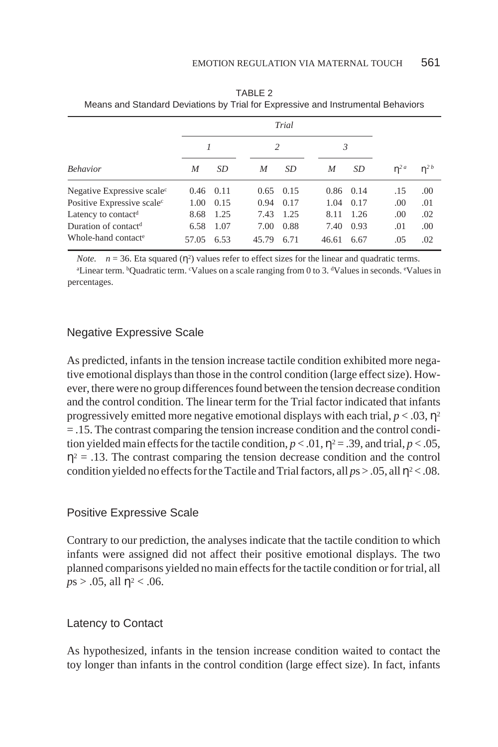|                                        | Trial |      |                |                   |       |               |          |          |
|----------------------------------------|-------|------|----------------|-------------------|-------|---------------|----------|----------|
|                                        |       |      | $\mathfrak{D}$ |                   | 3     |               |          |          |
| <b>Behavior</b>                        | M     | SD   | M              | SD                | M     | SD            | $n^{2a}$ | $n^{2b}$ |
| Negative Expressive scale <sup>c</sup> | 0.46  | 0.11 |                | $0.65 \quad 0.15$ |       | $0.86$ $0.14$ | .15      | .00      |
| Positive Expressive scale <sup>c</sup> | 1.00  | 0.15 | 0.94           | 0.17              | 1.04  | 0.17          | .00      | .01      |
| Latency to contact <sup>d</sup>        | 8.68  | 1.25 | 7.43           | 1.25              | 8.11  | 1.26          | .00      | .02      |
| Duration of contact <sup>d</sup>       | 6.58  | 1.07 | 7.00           | 0.88              | 7.40  | 0.93          | .01      | .00      |
| Whole-hand contact <sup>e</sup>        | 57.05 | 6.53 | 45.79          | 6.71              | 46.61 | 6.67          | .05      | .02      |

TABLE 2 Means and Standard Deviations by Trial for Expressive and Instrumental Behaviors

*Note.*  $n = 36$ . Eta squared ( $\eta^2$ ) values refer to effect sizes for the linear and quadratic terms.

<sup>a</sup>Linear term. <sup>b</sup>Quadratic term. <sup>c</sup>Values on a scale ranging from 0 to 3. dValues in seconds. <sup>e</sup>Values in percentages.

# Negative Expressive Scale

As predicted, infants in the tension increase tactile condition exhibited more negative emotional displays than those in the control condition (large effect size). However, there were no group differences found between the tension decrease condition and the control condition. The linear term for the Trial factor indicated that infants progressively emitted more negative emotional displays with each trial,  $p < .03$ ,  $\eta^2$ = .15. The contrast comparing the tension increase condition and the control condition yielded main effects for the tactile condition,  $p < .01$ ,  $\eta^2 = .39$ , and trial,  $p < .05$ ,  $\eta^2$  = .13. The contrast comparing the tension decrease condition and the control condition yielded no effects for the Tactile and Trial factors, all  $p s > 0.05$ , all  $\eta^2 < 0.08$ .

# Positive Expressive Scale

Contrary to our prediction, the analyses indicate that the tactile condition to which infants were assigned did not affect their positive emotional displays. The two planned comparisons yielded no main effects for the tactile condition or for trial, all  $p s > .05$ , all  $\eta^2 < .06$ .

# Latency to Contact

As hypothesized, infants in the tension increase condition waited to contact the toy longer than infants in the control condition (large effect size). In fact, infants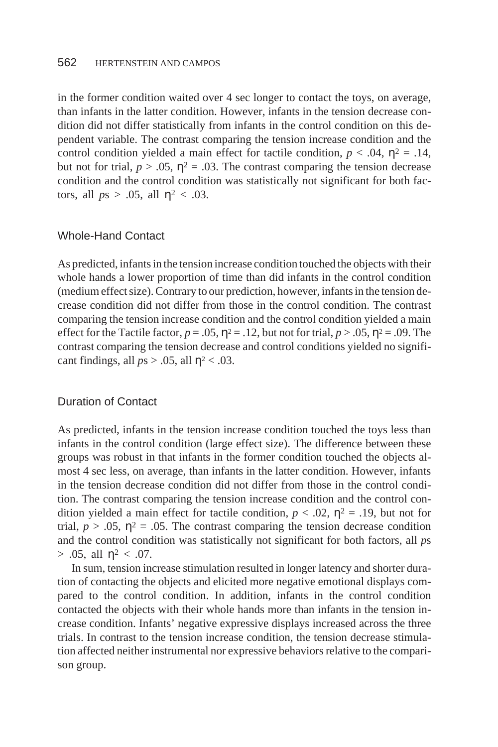in the former condition waited over 4 sec longer to contact the toys, on average, than infants in the latter condition. However, infants in the tension decrease condition did not differ statistically from infants in the control condition on this dependent variable. The contrast comparing the tension increase condition and the control condition yielded a main effect for tactile condition,  $p < .04$ ,  $\eta^2 = .14$ , but not for trial,  $p > 0.05$ ,  $\eta^2 = 0.03$ . The contrast comparing the tension decrease condition and the control condition was statistically not significant for both factors, all  $ps > .05$ , all  $\eta^2 < .03$ .

# Whole-Hand Contact

As predicted, infants in the tension increase condition touched the objects with their whole hands a lower proportion of time than did infants in the control condition (medium effect size). Contrary to our prediction, however, infants in the tension decrease condition did not differ from those in the control condition. The contrast comparing the tension increase condition and the control condition yielded a main effect for the Tactile factor,  $p = .05$ ,  $\eta^2 = .12$ , but not for trial,  $p > .05$ ,  $\eta^2 = .09$ . The contrast comparing the tension decrease and control conditions yielded no significant findings, all  $ps > .05$ , all  $n^2 < .03$ .

#### Duration of Contact

As predicted, infants in the tension increase condition touched the toys less than infants in the control condition (large effect size). The difference between these groups was robust in that infants in the former condition touched the objects almost 4 sec less, on average, than infants in the latter condition. However, infants in the tension decrease condition did not differ from those in the control condition. The contrast comparing the tension increase condition and the control condition yielded a main effect for tactile condition,  $p < .02$ ,  $\eta^2 = .19$ , but not for trial,  $p > 0.05$ ,  $\eta^2 = 0.05$ . The contrast comparing the tension decrease condition and the control condition was statistically not significant for both factors, all *p*s  $> .05$ , all  $\eta^2 < .07$ .

In sum, tension increase stimulation resulted in longer latency and shorter duration of contacting the objects and elicited more negative emotional displays compared to the control condition. In addition, infants in the control condition contacted the objects with their whole hands more than infants in the tension increase condition. Infants' negative expressive displays increased across the three trials. In contrast to the tension increase condition, the tension decrease stimulation affected neither instrumental nor expressive behaviors relative to the comparison group.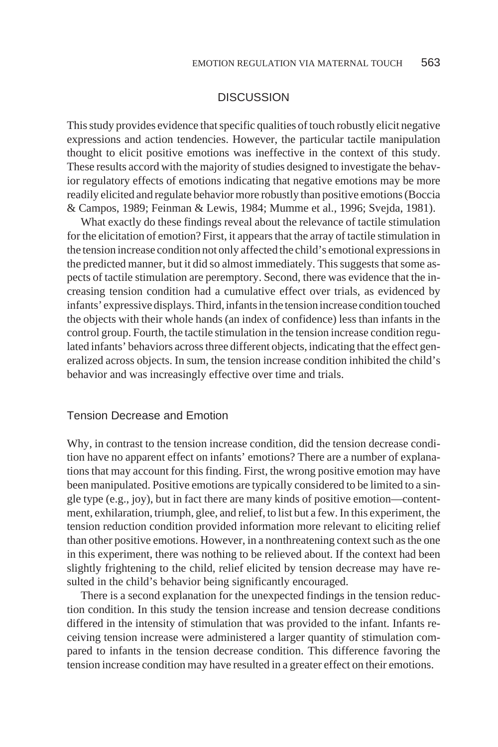# **DISCUSSION**

This study provides evidence that specific qualities of touch robustly elicit negative expressions and action tendencies. However, the particular tactile manipulation thought to elicit positive emotions was ineffective in the context of this study. These results accord with the majority of studies designed to investigate the behavior regulatory effects of emotions indicating that negative emotions may be more readily elicited and regulate behavior more robustly than positive emotions (Boccia & Campos, 1989; Feinman & Lewis, 1984; Mumme et al., 1996; Svejda, 1981).

What exactly do these findings reveal about the relevance of tactile stimulation for the elicitation of emotion? First, it appears that the array of tactile stimulation in the tension increase condition not only affected the child's emotional expressions in the predicted manner, but it did so almost immediately. This suggests that some aspects of tactile stimulation are peremptory. Second, there was evidence that the increasing tension condition had a cumulative effect over trials, as evidenced by infants' expressive displays. Third, infants in the tension increase condition touched the objects with their whole hands (an index of confidence) less than infants in the control group. Fourth, the tactile stimulation in the tension increase condition regulated infants' behaviors across three different objects, indicating that the effect generalized across objects. In sum, the tension increase condition inhibited the child's behavior and was increasingly effective over time and trials.

#### Tension Decrease and Emotion

Why, in contrast to the tension increase condition, did the tension decrease condition have no apparent effect on infants' emotions? There are a number of explanations that may account for this finding. First, the wrong positive emotion may have been manipulated. Positive emotions are typically considered to be limited to a single type (e.g., joy), but in fact there are many kinds of positive emotion—contentment, exhilaration, triumph, glee, and relief, to list but a few. In this experiment, the tension reduction condition provided information more relevant to eliciting relief than other positive emotions. However, in a nonthreatening context such as the one in this experiment, there was nothing to be relieved about. If the context had been slightly frightening to the child, relief elicited by tension decrease may have resulted in the child's behavior being significantly encouraged.

There is a second explanation for the unexpected findings in the tension reduction condition. In this study the tension increase and tension decrease conditions differed in the intensity of stimulation that was provided to the infant. Infants receiving tension increase were administered a larger quantity of stimulation compared to infants in the tension decrease condition. This difference favoring the tension increase condition may have resulted in a greater effect on their emotions.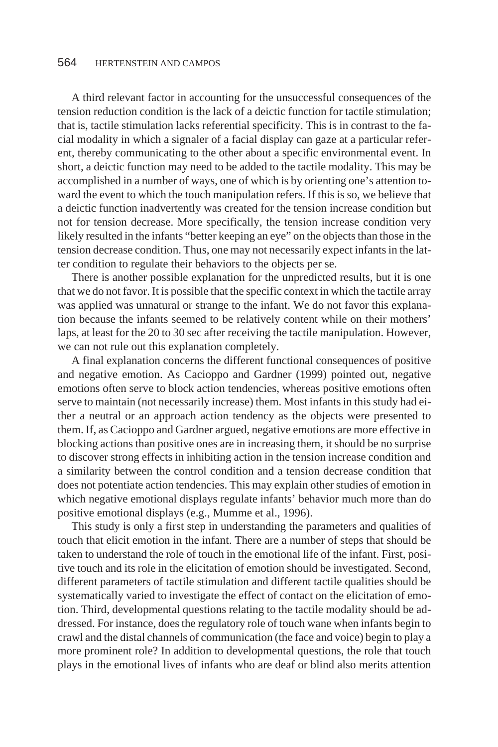A third relevant factor in accounting for the unsuccessful consequences of the tension reduction condition is the lack of a deictic function for tactile stimulation; that is, tactile stimulation lacks referential specificity. This is in contrast to the facial modality in which a signaler of a facial display can gaze at a particular referent, thereby communicating to the other about a specific environmental event. In short, a deictic function may need to be added to the tactile modality. This may be accomplished in a number of ways, one of which is by orienting one's attention toward the event to which the touch manipulation refers. If this is so, we believe that a deictic function inadvertently was created for the tension increase condition but not for tension decrease. More specifically, the tension increase condition very likely resulted in the infants "better keeping an eye" on the objects than those in the tension decrease condition. Thus, one may not necessarily expect infants in the latter condition to regulate their behaviors to the objects per se.

There is another possible explanation for the unpredicted results, but it is one that we do not favor. It is possible that the specific context in which the tactile array was applied was unnatural or strange to the infant. We do not favor this explanation because the infants seemed to be relatively content while on their mothers' laps, at least for the 20 to 30 sec after receiving the tactile manipulation. However, we can not rule out this explanation completely.

A final explanation concerns the different functional consequences of positive and negative emotion. As Cacioppo and Gardner (1999) pointed out, negative emotions often serve to block action tendencies, whereas positive emotions often serve to maintain (not necessarily increase) them. Most infants in this study had either a neutral or an approach action tendency as the objects were presented to them. If, as Cacioppo and Gardner argued, negative emotions are more effective in blocking actions than positive ones are in increasing them, it should be no surprise to discover strong effects in inhibiting action in the tension increase condition and a similarity between the control condition and a tension decrease condition that does not potentiate action tendencies. This may explain other studies of emotion in which negative emotional displays regulate infants' behavior much more than do positive emotional displays (e.g., Mumme et al., 1996).

This study is only a first step in understanding the parameters and qualities of touch that elicit emotion in the infant. There are a number of steps that should be taken to understand the role of touch in the emotional life of the infant. First, positive touch and its role in the elicitation of emotion should be investigated. Second, different parameters of tactile stimulation and different tactile qualities should be systematically varied to investigate the effect of contact on the elicitation of emotion. Third, developmental questions relating to the tactile modality should be addressed. For instance, does the regulatory role of touch wane when infants begin to crawl and the distal channels of communication (the face and voice) begin to play a more prominent role? In addition to developmental questions, the role that touch plays in the emotional lives of infants who are deaf or blind also merits attention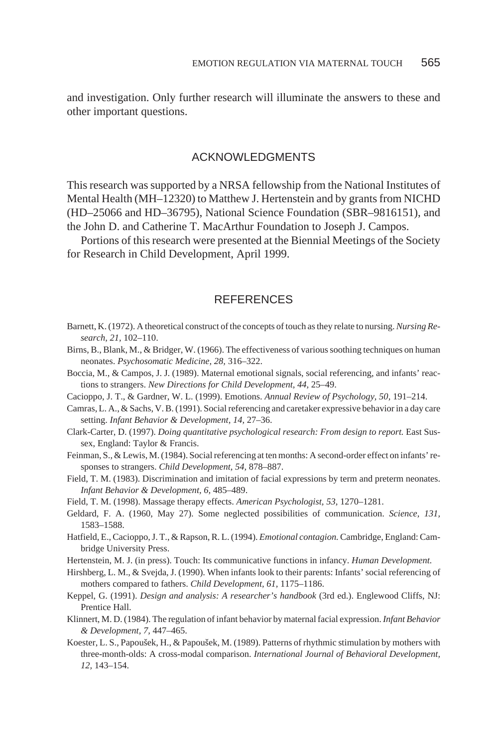and investigation. Only further research will illuminate the answers to these and other important questions.

# ACKNOWLEDGMENTS

This research was supported by a NRSA fellowship from the National Institutes of Mental Health (MH–12320) to Matthew J. Hertenstein and by grants from NICHD (HD–25066 and HD–36795), National Science Foundation (SBR–9816151), and the John D. and Catherine T. MacArthur Foundation to Joseph J. Campos.

Portions of this research were presented at the Biennial Meetings of the Society for Research in Child Development, April 1999.

#### REFERENCES

- Barnett, K. (1972). A theoretical construct of the concepts of touch as they relate to nursing.*Nursing Research, 21,* 102–110.
- Birns, B., Blank, M., & Bridger, W. (1966). The effectiveness of various soothing techniques on human neonates. *Psychosomatic Medicine, 28,* 316–322.
- Boccia, M., & Campos, J. J. (1989). Maternal emotional signals, social referencing, and infants' reactions to strangers. *New Directions for Child Development, 44,* 25–49.
- Cacioppo, J. T., & Gardner, W. L. (1999). Emotions. *Annual Review of Psychology, 50,* 191–214.
- Camras, L. A., & Sachs, V. B. (1991). Social referencing and caretaker expressive behavior in a day care setting. *Infant Behavior & Development, 14,* 27–36.
- Clark-Carter, D. (1997). *Doing quantitative psychological research: From design to report.* East Sussex, England: Taylor & Francis.
- Feinman, S., & Lewis, M. (1984). Social referencing at ten months: A second-order effect on infants' responses to strangers. *Child Development, 54,* 878–887.
- Field, T. M. (1983). Discrimination and imitation of facial expressions by term and preterm neonates. *Infant Behavior & Development, 6,* 485–489.
- Field, T. M. (1998). Massage therapy effects. *American Psychologist, 53,* 1270–1281.
- Geldard, F. A. (1960, May 27). Some neglected possibilities of communication. *Science, 131,* 1583–1588.
- Hatfield, E., Cacioppo, J. T., & Rapson, R. L. (1994). *Emotional contagion.* Cambridge, England: Cambridge University Press.
- Hertenstein, M. J. (in press). Touch: Its communicative functions in infancy. *Human Development.*
- Hirshberg, L. M., & Svejda, J. (1990). When infants look to their parents: Infants' social referencing of mothers compared to fathers. *Child Development, 61,* 1175–1186.
- Keppel, G. (1991). *Design and analysis: A researcher's handbook* (3rd ed.). Englewood Cliffs, NJ: Prentice Hall.
- Klinnert, M. D. (1984). The regulation of infant behavior by maternal facial expression.*Infant Behavior & Development, 7,* 447–465.
- Koester, L. S., Papoušek, H., & Papoušek, M. (1989). Patterns of rhythmic stimulation by mothers with three-month-olds: A cross-modal comparison. *International Journal of Behavioral Development, 12,* 143–154.